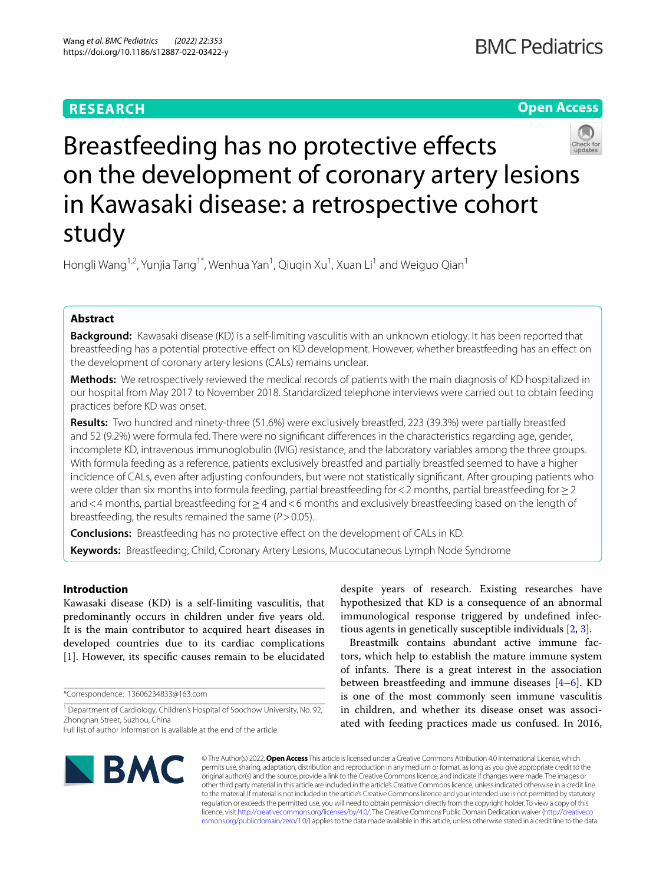# **RESEARCH**





# Breastfeeding has no protective effects on the development of coronary artery lesions in Kawasaki disease: a retrospective cohort study

Hongli Wang<sup>1,2</sup>, Yunjia Tang<sup>1\*</sup>, Wenhua Yan<sup>1</sup>, Qiuqin Xu<sup>1</sup>, Xuan Li<sup>1</sup> and Weiguo Qian<sup>1</sup>

# **Abstract**

**Background:** Kawasaki disease (KD) is a self-limiting vasculitis with an unknown etiology. It has been reported that breastfeeding has a potential protective efect on KD development. However, whether breastfeeding has an efect on the development of coronary artery lesions (CALs) remains unclear.

**Methods:** We retrospectively reviewed the medical records of patients with the main diagnosis of KD hospitalized in our hospital from May 2017 to November 2018. Standardized telephone interviews were carried out to obtain feeding practices before KD was onset.

**Results:** Two hundred and ninety-three (51.6%) were exclusively breastfed, 223 (39.3%) were partially breastfed and 52 (9.2%) were formula fed. There were no signifcant diferences in the characteristics regarding age, gender, incomplete KD, intravenous immunoglobulin (IVIG) resistance, and the laboratory variables among the three groups. With formula feeding as a reference, patients exclusively breastfed and partially breastfed seemed to have a higher incidence of CALs, even after adjusting confounders, but were not statistically signifcant. After grouping patients who were older than six months into formula feeding, partial breastfeeding for < 2 months, partial breastfeeding for  $\geq$  2 and<4 months, partial breastfeeding for≥4 and<6 months and exclusively breastfeeding based on the length of breastfeeding, the results remained the same (*P*>0.05).

**Conclusions:** Breastfeeding has no protective efect on the development of CALs in KD. **Keywords:** Breastfeeding, Child, Coronary Artery Lesions, Mucocutaneous Lymph Node Syndrome

# **Introduction**

Kawasaki disease (KD) is a self-limiting vasculitis, that predominantly occurs in children under five years old. It is the main contributor to acquired heart diseases in developed countries due to its cardiac complications [[1\]](#page-6-0). However, its specific causes remain to be elucidated

\*Correspondence: 13606234833@163.com

despite years of research. Existing researches have hypothesized that KD is a consequence of an abnormal immunological response triggered by undefned infectious agents in genetically susceptible individuals [[2,](#page-6-1) [3](#page-6-2)].

Breastmilk contains abundant active immune factors, which help to establish the mature immune system of infants. There is a great interest in the association between breastfeeding and immune diseases [[4](#page-6-3)[–6](#page-6-4)]. KD is one of the most commonly seen immune vasculitis in children, and whether its disease onset was associated with feeding practices made us confused. In 2016,



© The Author(s) 2022. **Open Access** This article is licensed under a Creative Commons Attribution 4.0 International License, which permits use, sharing, adaptation, distribution and reproduction in any medium or format, as long as you give appropriate credit to the original author(s) and the source, provide a link to the Creative Commons licence, and indicate if changes were made. The images or other third party material in this article are included in the article's Creative Commons licence, unless indicated otherwise in a credit line to the material. If material is not included in the article's Creative Commons licence and your intended use is not permitted by statutory regulation or exceeds the permitted use, you will need to obtain permission directly from the copyright holder. To view a copy of this licence, visit [http://creativecommons.org/licenses/by/4.0/.](http://creativecommons.org/licenses/by/4.0/) The Creative Commons Public Domain Dedication waiver ([http://creativeco](http://creativecommons.org/publicdomain/zero/1.0/) [mmons.org/publicdomain/zero/1.0/](http://creativecommons.org/publicdomain/zero/1.0/)) applies to the data made available in this article, unless otherwise stated in a credit line to the data.

<sup>&</sup>lt;sup>1</sup> Department of Cardiology, Children's Hospital of Soochow University, No. 92, Zhongnan Street, Suzhou, China

Full list of author information is available at the end of the article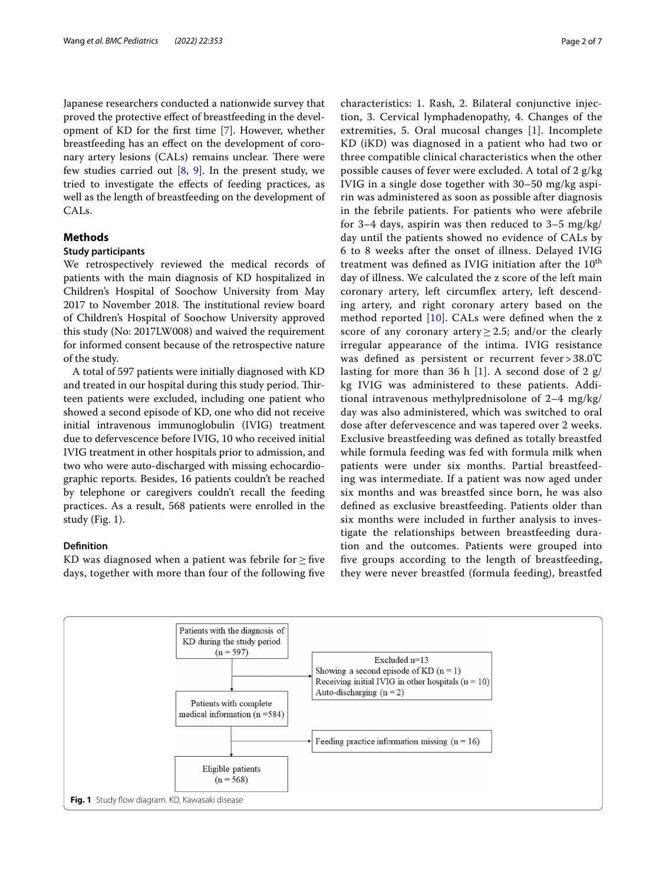Japanese researchers conducted a nationwide survey that proved the protective efect of breastfeeding in the development of KD for the frst time [\[7](#page-6-5)]. However, whether breastfeeding has an efect on the development of coronary artery lesions (CALs) remains unclear. There were few studies carried out  $[8, 9]$  $[8, 9]$  $[8, 9]$  $[8, 9]$ . In the present study, we tried to investigate the efects of feeding practices, as well as the length of breastfeeding on the development of CALs.

# **Methods**

# **Study participants**

We retrospectively reviewed the medical records of patients with the main diagnosis of KD hospitalized in Children's Hospital of Soochow University from May 2017 to November 2018. The institutional review board of Children's Hospital of Soochow University approved this study (No: 2017LW008) and waived the requirement for informed consent because of the retrospective nature of the study.

A total of 597 patients were initially diagnosed with KD and treated in our hospital during this study period. Thirteen patients were excluded, including one patient who showed a second episode of KD, one who did not receive initial intravenous immunoglobulin (IVIG) treatment due to defervescence before IVIG, 10 who received initial IVIG treatment in other hospitals prior to admission, and two who were auto-discharged with missing echocardiographic reports. Besides, 16 patients couldn't be reached by telephone or caregivers couldn't recall the feeding practices. As a result, 568 patients were enrolled in the study (Fig. [1](#page-1-0)).

## **Defnition**

KD was diagnosed when a patient was febrile for  $\geq$  five days, together with more than four of the following fve characteristics: 1. Rash, 2. Bilateral conjunctive injection, 3. Cervical lymphadenopathy, 4. Changes of the extremities, 5. Oral mucosal changes [[1\]](#page-6-0). Incomplete KD (iKD) was diagnosed in a patient who had two or three compatible clinical characteristics when the other possible causes of fever were excluded. A total of 2 g/kg IVIG in a single dose together with 30–50 mg/kg aspirin was administered as soon as possible after diagnosis in the febrile patients. For patients who were afebrile for 3–4 days, aspirin was then reduced to 3–5 mg/kg/ day until the patients showed no evidence of CALs by 6 to 8 weeks after the onset of illness. Delayed IVIG treatment was defined as IVIG initiation after the 10<sup>th</sup> day of illness. We calculated the z score of the left main coronary artery, left circumfex artery, left descending artery, and right coronary artery based on the method reported  $[10]$  $[10]$ . CALs were defined when the z score of any coronary artery  $\geq$  2.5; and/or the clearly irregular appearance of the intima. IVIG resistance was defined as persistent or recurrent fever > 38.0°C lasting for more than 36 h [[1\]](#page-6-0). A second dose of 2  $g/$ kg IVIG was administered to these patients. Additional intravenous methylprednisolone of 2–4 mg/kg/ day was also administered, which was switched to oral dose after defervescence and was tapered over 2 weeks. Exclusive breastfeeding was defned as totally breastfed while formula feeding was fed with formula milk when patients were under six months. Partial breastfeeding was intermediate. If a patient was now aged under six months and was breastfed since born, he was also defned as exclusive breastfeeding. Patients older than six months were included in further analysis to investigate the relationships between breastfeeding duration and the outcomes. Patients were grouped into fve groups according to the length of breastfeeding, they were never breastfed (formula feeding), breastfed

<span id="page-1-0"></span>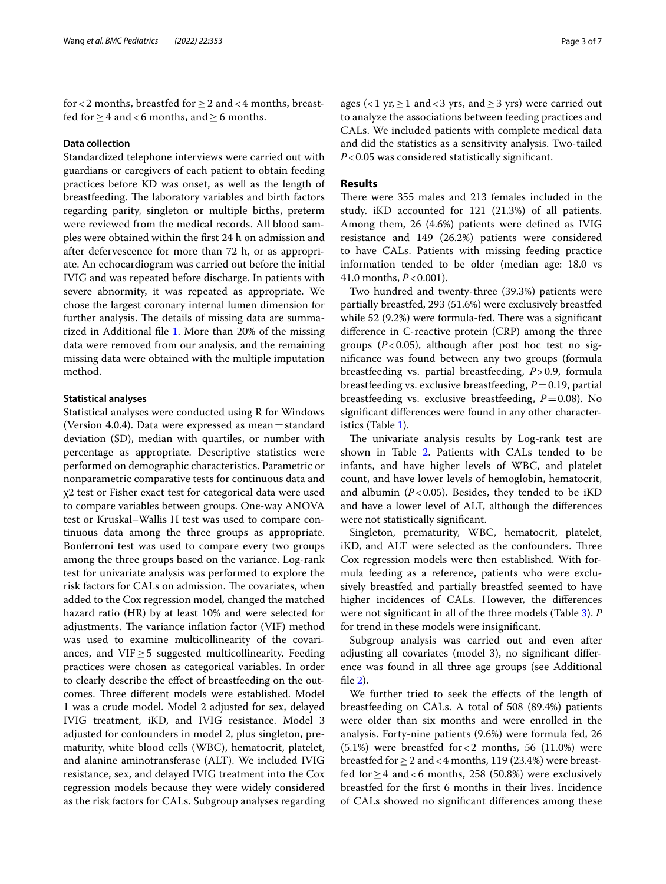for < 2 months, breastfed for  $\geq 2$  and < 4 months, breastfed for  $> 4$  and < 6 months, and  $> 6$  months.

### **Data collection**

Standardized telephone interviews were carried out with guardians or caregivers of each patient to obtain feeding practices before KD was onset, as well as the length of breastfeeding. The laboratory variables and birth factors regarding parity, singleton or multiple births, preterm were reviewed from the medical records. All blood samples were obtained within the frst 24 h on admission and after defervescence for more than 72 h, or as appropriate. An echocardiogram was carried out before the initial IVIG and was repeated before discharge. In patients with severe abnormity, it was repeated as appropriate. We chose the largest coronary internal lumen dimension for further analysis. The details of missing data are summarized in Additional fle [1](#page-5-0). More than 20% of the missing data were removed from our analysis, and the remaining missing data were obtained with the multiple imputation method.

## **Statistical analyses**

Statistical analyses were conducted using R for Windows (Version 4.0.4). Data were expressed as mean  $\pm$  standard deviation (SD), median with quartiles, or number with percentage as appropriate. Descriptive statistics were performed on demographic characteristics. Parametric or nonparametric comparative tests for continuous data and χ2 test or Fisher exact test for categorical data were used to compare variables between groups. One-way ANOVA test or Kruskal–Wallis H test was used to compare continuous data among the three groups as appropriate. Bonferroni test was used to compare every two groups among the three groups based on the variance. Log-rank test for univariate analysis was performed to explore the risk factors for CALs on admission. The covariates, when added to the Cox regression model, changed the matched hazard ratio (HR) by at least 10% and were selected for adjustments. The variance inflation factor (VIF) method was used to examine multicollinearity of the covariances, and  $VIF > 5$  suggested multicollinearity. Feeding practices were chosen as categorical variables. In order to clearly describe the efect of breastfeeding on the outcomes. Three different models were established. Model 1 was a crude model. Model 2 adjusted for sex, delayed IVIG treatment, iKD, and IVIG resistance. Model 3 adjusted for confounders in model 2, plus singleton, prematurity, white blood cells (WBC), hematocrit, platelet, and alanine aminotransferase (ALT). We included IVIG resistance, sex, and delayed IVIG treatment into the Cox regression models because they were widely considered as the risk factors for CALs. Subgroup analyses regarding ages (<1 yr,  $\geq$  1 and <3 yrs, and  $\geq$  3 yrs) were carried out to analyze the associations between feeding practices and CALs. We included patients with complete medical data and did the statistics as a sensitivity analysis. Two-tailed *P*<0.05 was considered statistically signifcant.

## **Results**

There were 355 males and 213 females included in the study. iKD accounted for 121 (21.3%) of all patients. Among them, 26 (4.6%) patients were defned as IVIG resistance and 149 (26.2%) patients were considered to have CALs. Patients with missing feeding practice information tended to be older (median age: 18.0 vs 41.0 months, *P*<0.001).

Two hundred and twenty-three (39.3%) patients were partially breastfed, 293 (51.6%) were exclusively breastfed while  $52$  (9.2%) were formula-fed. There was a significant diference in C-reactive protein (CRP) among the three groups (*P*<0.05), although after post hoc test no signifcance was found between any two groups (formula breastfeeding vs. partial breastfeeding, *P*>0.9, formula breastfeeding vs. exclusive breastfeeding, *P*=0.19, partial breastfeeding vs. exclusive breastfeeding,  $P=0.08$ ). No signifcant diferences were found in any other characteristics (Table [1\)](#page-3-0).

The univariate analysis results by Log-rank test are shown in Table [2](#page-4-0). Patients with CALs tended to be infants, and have higher levels of WBC, and platelet count, and have lower levels of hemoglobin, hematocrit, and albumin  $(P<0.05)$ . Besides, they tended to be iKD and have a lower level of ALT, although the diferences were not statistically signifcant.

Singleton, prematurity, WBC, hematocrit, platelet, iKD, and ALT were selected as the confounders. Three Cox regression models were then established. With formula feeding as a reference, patients who were exclusively breastfed and partially breastfed seemed to have higher incidences of CALs. However, the diferences were not signifcant in all of the three models (Table [3](#page-5-1)). *P* for trend in these models were insignifcant.

Subgroup analysis was carried out and even after adjusting all covariates (model 3), no signifcant diference was found in all three age groups (see Additional fle [2](#page-5-2)).

We further tried to seek the efects of the length of breastfeeding on CALs. A total of 508 (89.4%) patients were older than six months and were enrolled in the analysis. Forty-nine patients (9.6%) were formula fed, 26  $(5.1%)$  were breastfed for  $< 2$  months, 56  $(11.0%)$  were breastfed for  $\geq 2$  and <4 months, 119 (23.4%) were breastfed for  $\geq$  4 and < 6 months, 258 (50.8%) were exclusively breastfed for the frst 6 months in their lives. Incidence of CALs showed no signifcant diferences among these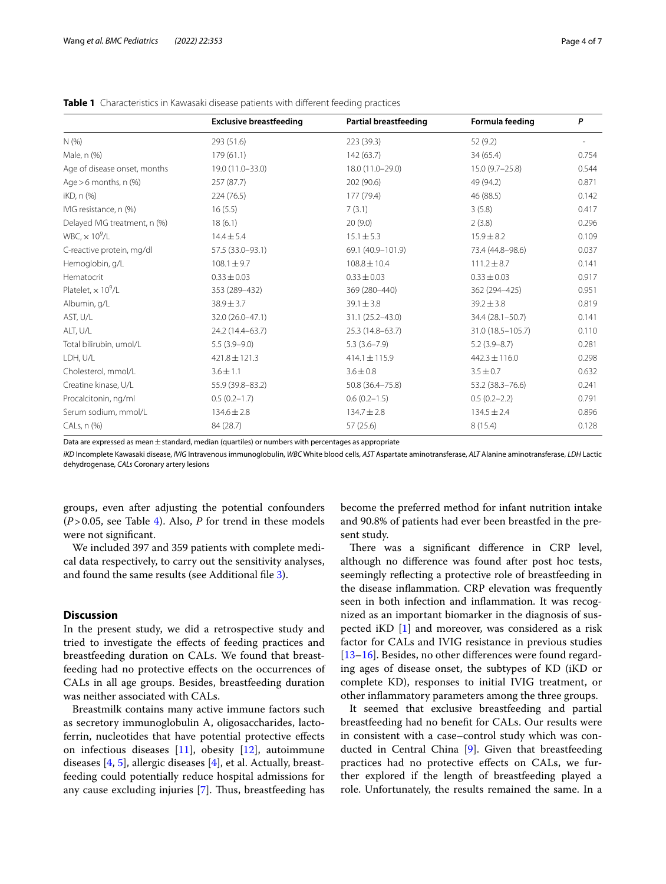|                                       | <b>Exclusive breastfeeding</b> | <b>Partial breastfeeding</b> | Formula feeding    | P     |
|---------------------------------------|--------------------------------|------------------------------|--------------------|-------|
| N(% )                                 | 293 (51.6)                     | 223 (39.3)                   | 52 (9.2)           |       |
| Male, n (%)                           | 179(61.1)                      | 142(63.7)                    | 34(65.4)           | 0.754 |
| Age of disease onset, months          | 19.0 (11.0-33.0)               | 18.0 (11.0-29.0)             | $15.0(9.7 - 25.8)$ | 0.544 |
| Age $>6$ months, n $(\%)$             | 257 (87.7)                     | 202 (90.6)                   | 49 (94.2)          | 0.871 |
| iKD, n (%)                            | 224(76.5)                      | 177 (79.4)                   | 46 (88.5)          | 0.142 |
| IVIG resistance, n (%)                | 16(5.5)                        | 7(3.1)                       | 3(5.8)             | 0.417 |
| Delayed IVIG treatment, n (%)         | 18(6.1)                        | 20(9.0)                      | 2(3.8)             | 0.296 |
| WBC, $\times$ 10 <sup>9</sup> /L      | $14.4 \pm 5.4$                 | $15.1 \pm 5.3$               | $15.9 \pm 8.2$     | 0.109 |
| C-reactive protein, mg/dl             | 57.5 (33.0-93.1)               | 69.1 (40.9-101.9)            | 73.4 (44.8-98.6)   | 0.037 |
| Hemoglobin, g/L                       | $108.1 \pm 9.7$                | $108.8 \pm 10.4$             | $111.2 \pm 8.7$    | 0.141 |
| Hematocrit                            | $0.33 \pm 0.03$                | $0.33 \pm 0.03$              | $0.33 \pm 0.03$    | 0.917 |
| Platelet, $\times$ 10 <sup>9</sup> /L | 353 (289-432)                  | 369 (280-440)                | 362 (294-425)      | 0.951 |
| Albumin, g/L                          | $38.9 \pm 3.7$                 | $39.1 \pm 3.8$               | $39.2 \pm 3.8$     | 0.819 |
| AST, U/L                              | 32.0 (26.0-47.1)               | 31.1 (25.2-43.0)             | 34.4 (28.1-50.7)   | 0.141 |
| ALT, U/L                              | 24.2 (14.4-63.7)               | 25.3 (14.8-63.7)             | 31.0 (18.5-105.7)  | 0.110 |
| Total bilirubin, umol/L               | $5.5(3.9-9.0)$                 | $5.3(3.6 - 7.9)$             | $5.2(3.9 - 8.7)$   | 0.281 |
| LDH, U/L                              | $421.8 \pm 121.3$              | $414.1 \pm 115.9$            | $442.3 \pm 116.0$  | 0.298 |
| Cholesterol, mmol/L                   | $3.6 \pm 1.1$                  | $3.6 \pm 0.8$                | $3.5 \pm 0.7$      | 0.632 |
| Creatine kinase, U/L                  | 55.9 (39.8-83.2)               | 50.8 (36.4-75.8)             | 53.2 (38.3-76.6)   | 0.241 |
| Procalcitonin, ng/ml                  | $0.5(0.2 - 1.7)$               | $0.6(0.2-1.5)$               | $0.5(0.2 - 2.2)$   | 0.791 |
| Serum sodium, mmol/L                  | $134.6 \pm 2.8$                | $134.7 \pm 2.8$              | $134.5 \pm 2.4$    | 0.896 |
| CALs, n (%)                           | 84 (28.7)                      | 57 (25.6)                    | 8(15.4)            | 0.128 |

<span id="page-3-0"></span>**Table 1** Characteristics in Kawasaki disease patients with different feeding practices

Data are expressed as mean $\pm$ standard, median (quartiles) or numbers with percentages as appropriate

*iKD* Incomplete Kawasaki disease, *IVIG* Intravenous immunoglobulin, *WBC* White blood cells, *AST* Aspartate aminotransferase, *ALT* Alanine aminotransferase, *LDH* Lactic dehydrogenase, *CALs* Coronary artery lesions

groups, even after adjusting the potential confounders (*P*>0.05, see Table [4](#page-5-3)). Also, *P* for trend in these models were not signifcant.

We included 397 and 359 patients with complete medical data respectively, to carry out the sensitivity analyses, and found the same results (see Additional fle [3](#page-5-4)).

## **Discussion**

In the present study, we did a retrospective study and tried to investigate the efects of feeding practices and breastfeeding duration on CALs. We found that breastfeeding had no protective efects on the occurrences of CALs in all age groups. Besides, breastfeeding duration was neither associated with CALs.

Breastmilk contains many active immune factors such as secretory immunoglobulin A, oligosaccharides, lactoferrin, nucleotides that have potential protective efects on infectious diseases [[11](#page-6-9)], obesity [[12\]](#page-6-10), autoimmune diseases [[4](#page-6-3), [5](#page-6-11)], allergic diseases [\[4\]](#page-6-3), et al. Actually, breastfeeding could potentially reduce hospital admissions for any cause excluding injuries  $[7]$  $[7]$ . Thus, breastfeeding has become the preferred method for infant nutrition intake and 90.8% of patients had ever been breastfed in the present study.

There was a significant difference in CRP level, although no diference was found after post hoc tests, seemingly refecting a protective role of breastfeeding in the disease infammation. CRP elevation was frequently seen in both infection and infammation. It was recognized as an important biomarker in the diagnosis of suspected iKD [[1\]](#page-6-0) and moreover, was considered as a risk factor for CALs and IVIG resistance in previous studies [[13–](#page-6-12)[16\]](#page-6-13). Besides, no other differences were found regarding ages of disease onset, the subtypes of KD (iKD or complete KD), responses to initial IVIG treatment, or other infammatory parameters among the three groups.

It seemed that exclusive breastfeeding and partial breastfeeding had no beneft for CALs. Our results were in consistent with a case–control study which was conducted in Central China [\[9](#page-6-7)]. Given that breastfeeding practices had no protective efects on CALs, we further explored if the length of breastfeeding played a role. Unfortunately, the results remained the same. In a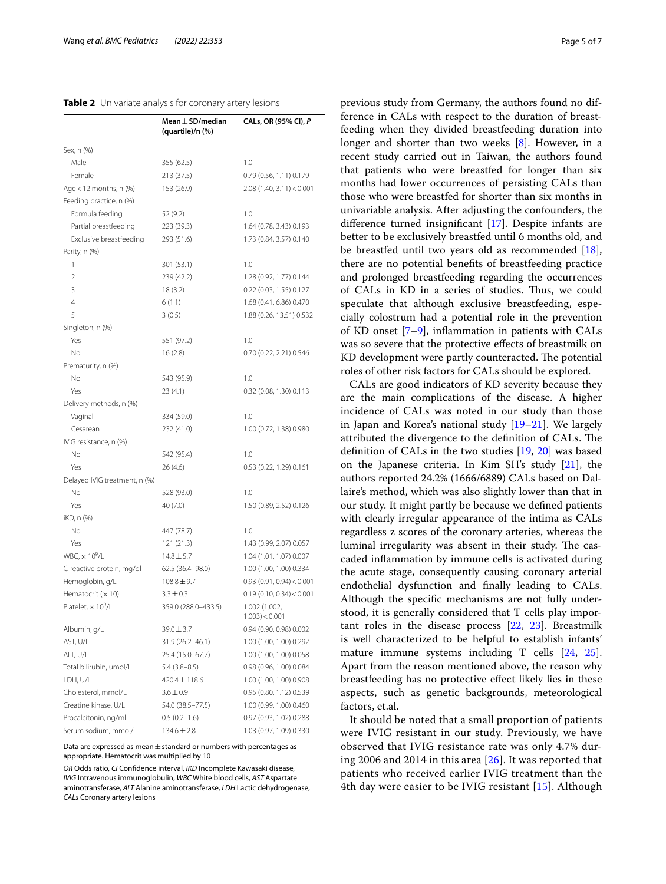<span id="page-4-0"></span>

|  | Table 2 Univariate analysis for coronary artery lesions |  |  |
|--|---------------------------------------------------------|--|--|
|--|---------------------------------------------------------|--|--|

|                                       | Mean $\pm$ SD/median<br>(quartile)/n (%) | CALs, OR (95% CI), P        |
|---------------------------------------|------------------------------------------|-----------------------------|
| Sex, n (%)                            |                                          |                             |
| Male                                  | 355 (62.5)                               | 1.0                         |
| Female                                | 213 (37.5)                               | 0.79 (0.56, 1.11) 0.179     |
| Age $<$ 12 months, n $(\%)$           | 153 (26.9)                               | 2.08(1.40, 3.11) < 0.001    |
| Feeding practice, n (%)               |                                          |                             |
| Formula feeding                       | 52 (9.2)                                 | 1.0                         |
| Partial breastfeeding                 | 223 (39.3)                               | 1.64 (0.78, 3.43) 0.193     |
| Exclusive breastfeeding               | 293 (51.6)                               | 1.73 (0.84, 3.57) 0.140     |
| Parity, n (%)                         |                                          |                             |
| 1                                     | 301 (53.1)                               | 1.0                         |
| $\overline{2}$                        | 239 (42.2)                               | 1.28 (0.92, 1.77) 0.144     |
| 3                                     | 18(3.2)                                  | 0.22 (0.03, 1.55) 0.127     |
| 4                                     | 6(1.1)                                   | 1.68 (0.41, 6.86) 0.470     |
| 5                                     | 3(0.5)                                   | 1.88 (0.26, 13.51) 0.532    |
| Singleton, n (%)                      |                                          |                             |
| Yes                                   | 551 (97.2)                               | 1.0                         |
| No                                    | 16(2.8)                                  | 0.70 (0.22, 2.21) 0.546     |
| Prematurity, n (%)                    |                                          |                             |
| No                                    | 543 (95.9)                               | 1.0                         |
| Yes                                   | 23(4.1)                                  | 0.32 (0.08, 1.30) 0.113     |
| Delivery methods, n (%)               |                                          |                             |
| Vaginal                               | 334 (59.0)                               | 1.0                         |
| Cesarean                              | 232 (41.0)                               | 1.00 (0.72, 1.38) 0.980     |
| IVIG resistance, n (%)                |                                          |                             |
| No                                    | 542 (95.4)                               | 1.0                         |
| Yes                                   | 26(4.6)                                  | 0.53 (0.22, 1.29) 0.161     |
| Delayed IVIG treatment, n (%)         |                                          |                             |
| No                                    | 528 (93.0)                               | 1.0                         |
| Yes                                   | 40 (7.0)                                 | 1.50 (0.89, 2.52) 0.126     |
| iKD, n (%)                            |                                          |                             |
| No                                    | 447 (78.7)                               | 1.0                         |
| Yes                                   | 121 (21.3)                               | 1.43 (0.99, 2.07) 0.057     |
| WBC, $\times$ 10 <sup>9</sup> /L      | $14.8 \pm 5.7$                           | 1.04 (1.01, 1.07) 0.007     |
| C-reactive protein, mg/dl             | 62.5 (36.4-98.0)                         | 1.00 (1.00, 1.00) 0.334     |
| Hemoglobin, g/L                       | $108.8 \pm 9.7$                          | $0.93$ (0.91, 0.94) < 0.001 |
| Hematocrit (x 10)                     | $3.3 \pm 0.3$                            | 0.19(0.10, 0.34) < 0.001    |
| Platelet, $\times$ 10 <sup>9</sup> /L | 359.0 (288.0-433.5)                      | 1.002 (1.002,               |
|                                       |                                          | $1.003$ ) < 0.001           |
| Albumin, g/L                          | $39.0 \pm 3.7$                           | 0.94 (0.90, 0.98) 0.002     |
| AST, U/L                              | 31.9 (26.2-46.1)                         | 1.00 (1.00, 1.00) 0.292     |
| ALT, U/L                              | 25.4 (15.0-67.7)                         | 1.00 (1.00, 1.00) 0.058     |
| Total bilirubin, umol/L               | $5.4(3.8-8.5)$                           | 0.98 (0.96, 1.00) 0.084     |
| LDH, U/L                              | $420.4 \pm 118.6$                        | 1.00 (1.00, 1.00) 0.908     |
| Cholesterol, mmol/L                   | $3.6 \pm 0.9$                            | 0.95 (0.80, 1.12) 0.539     |
| Creatine kinase, U/L                  | 54.0 (38.5 - 77.5)                       | 1.00 (0.99, 1.00) 0.460     |
| Procalcitonin, ng/ml                  | $0.5(0.2 - 1.6)$                         | 0.97 (0.93, 1.02) 0.288     |
| Serum sodium, mmol/L                  | $134.6 \pm 2.8$                          | 1.03 (0.97, 1.09) 0.330     |

Data are expressed as mean  $\pm$  standard or numbers with percentages as appropriate. Hematocrit was multiplied by 10

*OR* Odds ratio, *CI* Confdence interval, *iKD* Incomplete Kawasaki disease, *IVIG* Intravenous immunoglobulin, *WBC* White blood cells, *AST* Aspartate aminotransferase, *ALT* Alanine aminotransferase, *LDH* Lactic dehydrogenase, *CALs* Coronary artery lesions

previous study from Germany, the authors found no difference in CALs with respect to the duration of breastfeeding when they divided breastfeeding duration into longer and shorter than two weeks [[8\]](#page-6-6). However, in a recent study carried out in Taiwan, the authors found that patients who were breastfed for longer than six months had lower occurrences of persisting CALs than those who were breastfed for shorter than six months in univariable analysis. After adjusting the confounders, the diference turned insignifcant [[17\]](#page-6-14). Despite infants are better to be exclusively breastfed until 6 months old, and be breastfed until two years old as recommended [\[18](#page-6-15)], there are no potential benefts of breastfeeding practice and prolonged breastfeeding regarding the occurrences of CALs in KD in a series of studies. Thus, we could speculate that although exclusive breastfeeding, especially colostrum had a potential role in the prevention of KD onset [[7](#page-6-5)[–9](#page-6-7)], infammation in patients with CALs was so severe that the protective efects of breastmilk on KD development were partly counteracted. The potential roles of other risk factors for CALs should be explored.

CALs are good indicators of KD severity because they are the main complications of the disease. A higher incidence of CALs was noted in our study than those in Japan and Korea's national study [[19–](#page-6-16)[21](#page-6-17)]. We largely attributed the divergence to the definition of CALs. The defnition of CALs in the two studies [\[19](#page-6-16), [20](#page-6-18)] was based on the Japanese criteria. In Kim SH's study [\[21](#page-6-17)], the authors reported 24.2% (1666/6889) CALs based on Dallaire's method, which was also slightly lower than that in our study. It might partly be because we defned patients with clearly irregular appearance of the intima as CALs regardless z scores of the coronary arteries, whereas the luminal irregularity was absent in their study. The cascaded infammation by immune cells is activated during the acute stage, consequently causing coronary arterial endothelial dysfunction and fnally leading to CALs. Although the specifc mechanisms are not fully understood, it is generally considered that T cells play important roles in the disease process [[22](#page-6-19), [23\]](#page-6-20). Breastmilk is well characterized to be helpful to establish infants' mature immune systems including T cells [[24,](#page-6-21) [25](#page-6-22)]. Apart from the reason mentioned above, the reason why breastfeeding has no protective efect likely lies in these aspects, such as genetic backgrounds, meteorological factors, et.al.

It should be noted that a small proportion of patients were IVIG resistant in our study. Previously, we have observed that IVIG resistance rate was only 4.7% during 2006 and 2014 in this area [[26\]](#page-6-23). It was reported that patients who received earlier IVIG treatment than the 4th day were easier to be IVIG resistant [[15](#page-6-24)]. Although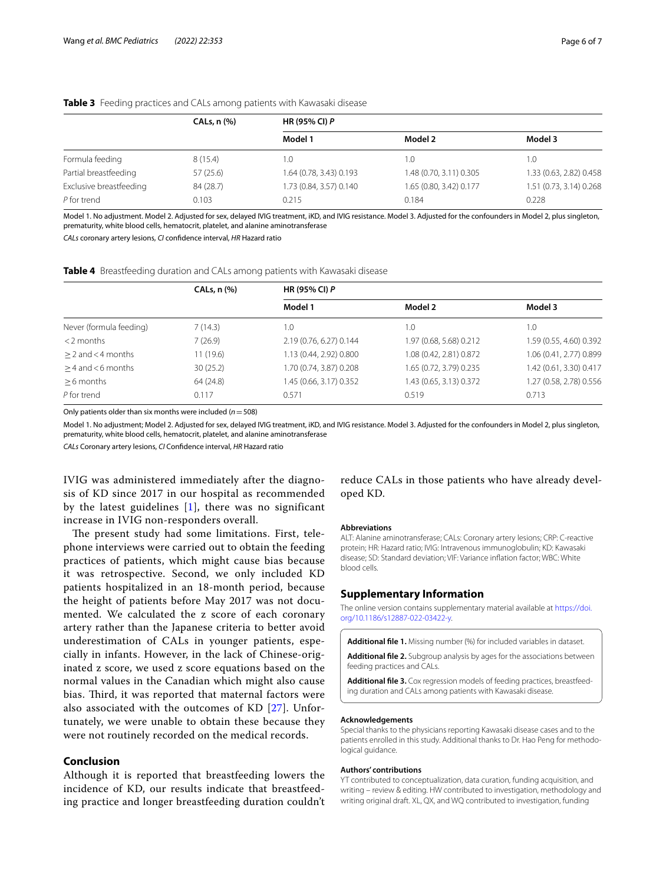|                         | $CALs, n$ $%$ | <b>HR (95% CI) P</b>    |                         |                         |
|-------------------------|---------------|-------------------------|-------------------------|-------------------------|
|                         |               | Model 1                 | Model 2                 | Model 3                 |
| Formula feeding         | 8(15.4)       | .0                      | 1.0                     | 1.0                     |
| Partial breastfeeding   | 57 (25.6)     | 1.64 (0.78, 3.43) 0.193 | 1.48 (0.70, 3.11) 0.305 | 1.33 (0.63, 2.82) 0.458 |
| Exclusive breastfeeding | 84 (28.7)     | 1.73 (0.84, 3.57) 0.140 | 1.65 (0.80, 3.42) 0.177 | 1.51 (0.73, 3.14) 0.268 |
| P for trend             | 0.103         | 0.215                   | 0.184                   | 0.228                   |

#### <span id="page-5-1"></span>**Table 3** Feeding practices and CALs among patients with Kawasaki disease

Model 1. No adjustment. Model 2. Adjusted for sex, delayed IVIG treatment, iKD, and IVIG resistance. Model 3. Adjusted for the confounders in Model 2, plus singleton, prematurity, white blood cells, hematocrit, platelet, and alanine aminotransferase

*CALs* coronary artery lesions, *CI* confdence interval, *HR* Hazard ratio

<span id="page-5-3"></span>

|  | Table 4 Breastfeeding duration and CALs among patients with Kawasaki disease |
|--|------------------------------------------------------------------------------|
|  |                                                                              |

|                         | CALs, n (%) | <b>HR (95% CI) P</b>    |                         |                         |
|-------------------------|-------------|-------------------------|-------------------------|-------------------------|
|                         |             | Model 1                 | Model 2                 | Model 3                 |
| Never (formula feeding) | 7(14.3)     | 1.0                     | I.O                     | 1.0                     |
| $<$ 2 months            | 7(26.9)     | 2.19 (0.76, 6.27) 0.144 | 1.97 (0.68, 5.68) 0.212 | 1.59 (0.55, 4.60) 0.392 |
| $> 2$ and $<$ 4 months  | 11(19.6)    | 1.13 (0.44, 2.92) 0.800 | 1.08 (0.42, 2.81) 0.872 | 1.06 (0.41, 2.77) 0.899 |
| $>$ 4 and $<$ 6 months  | 30(25.2)    | 1.70 (0.74, 3.87) 0.208 | 1.65 (0.72, 3.79) 0.235 | 1.42 (0.61, 3.30) 0.417 |
| $>6$ months             | 64 (24.8)   | 1.45 (0.66, 3.17) 0.352 | 1.43 (0.65, 3.13) 0.372 | 1.27 (0.58, 2.78) 0.556 |
| P for trend             | 0.117       | 0.571                   | 0.519                   | 0.713                   |

Only patients older than six months were included (*n*=508)

Model 1. No adjustment; Model 2. Adjusted for sex, delayed IVIG treatment, iKD, and IVIG resistance. Model 3. Adjusted for the confounders in Model 2, plus singleton, prematurity, white blood cells, hematocrit, platelet, and alanine aminotransferase

*CALs* Coronary artery lesions, *CI* Confdence interval, *HR* Hazard ratio

IVIG was administered immediately after the diagnosis of KD since 2017 in our hospital as recommended by the latest guidelines  $[1]$  $[1]$  $[1]$ , there was no significant increase in IVIG non-responders overall.

The present study had some limitations. First, telephone interviews were carried out to obtain the feeding practices of patients, which might cause bias because it was retrospective. Second, we only included KD patients hospitalized in an 18-month period, because the height of patients before May 2017 was not documented. We calculated the z score of each coronary artery rather than the Japanese criteria to better avoid underestimation of CALs in younger patients, especially in infants. However, in the lack of Chinese-originated z score, we used z score equations based on the normal values in the Canadian which might also cause bias. Third, it was reported that maternal factors were also associated with the outcomes of KD [[27\]](#page-6-25). Unfortunately, we were unable to obtain these because they were not routinely recorded on the medical records.

# **Conclusion**

Although it is reported that breastfeeding lowers the incidence of KD, our results indicate that breastfeeding practice and longer breastfeeding duration couldn't

reduce CALs in those patients who have already developed KD.

#### **Abbreviations**

ALT: Alanine aminotransferase; CALs: Coronary artery lesions; CRP: C-reactive protein; HR: Hazard ratio; IVIG: Intravenous immunoglobulin; KD: Kawasaki disease; SD: Standard deviation; VIF: Variance infation factor; WBC: White blood cells.

#### **Supplementary Information**

The online version contains supplementary material available at [https://doi.](https://doi.org/10.1186/s12887-022-03422-y) [org/10.1186/s12887-022-03422-y.](https://doi.org/10.1186/s12887-022-03422-y)

<span id="page-5-2"></span><span id="page-5-0"></span>**Additional fle 1.** Missing number (%) for included variables in dataset.

<span id="page-5-4"></span>**Additional fle 2.** Subgroup analysis by ages for the associations between feeding practices and CALs.

**Additional fle 3.** Cox regression models of feeding practices, breastfeeding duration and CALs among patients with Kawasaki disease.

#### **Acknowledgements**

Special thanks to the physicians reporting Kawasaki disease cases and to the patients enrolled in this study. Additional thanks to Dr. Hao Peng for methodological guidance.

#### **Authors' contributions**

YT contributed to conceptualization, data curation, funding acquisition, and writing – review & editing. HW contributed to investigation, methodology and writing original draft. XL, QX, and WQ contributed to investigation, funding